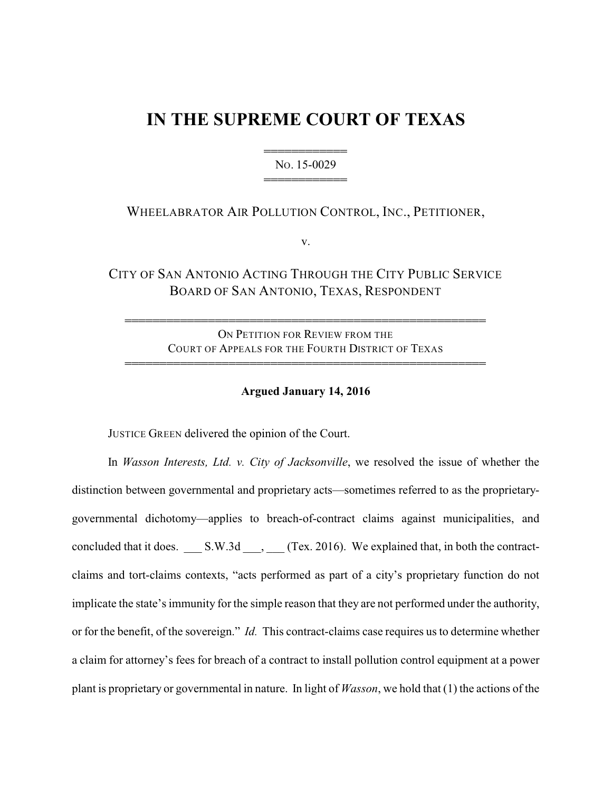# **IN THE SUPREME COURT OF TEXAS**

444444444444 NO. 15-0029 444444444444

## WHEELABRATOR AIR POLLUTION CONTROL, INC., PETITIONER,

v.

CITY OF SAN ANTONIO ACTING THROUGH THE CITY PUBLIC SERVICE BOARD OF SAN ANTONIO, TEXAS, RESPONDENT

ON PETITION FOR REVIEW FROM THE COURT OF APPEALS FOR THE FOURTH DISTRICT OF TEXAS 4444444444444444444444444444444444444444444444444444

4444444444444444444444444444444444444444444444444444

#### **Argued January 14, 2016**

JUSTICE GREEN delivered the opinion of the Court.

In *Wasson Interests, Ltd. v. City of Jacksonville*, we resolved the issue of whether the distinction between governmental and proprietary acts—sometimes referred to as the proprietarygovernmental dichotomy—applies to breach-of-contract claims against municipalities, and concluded that it does. \_\_\_ S.W.3d \_\_\_, \_\_\_ (Tex. 2016). We explained that, in both the contractclaims and tort-claims contexts, "acts performed as part of a city's proprietary function do not implicate the state's immunity for the simple reason that they are not performed under the authority, or for the benefit, of the sovereign." *Id.* This contract-claims case requires us to determine whether a claim for attorney's fees for breach of a contract to install pollution control equipment at a power plant is proprietary or governmental in nature. In light of *Wasson*, we hold that (1) the actions of the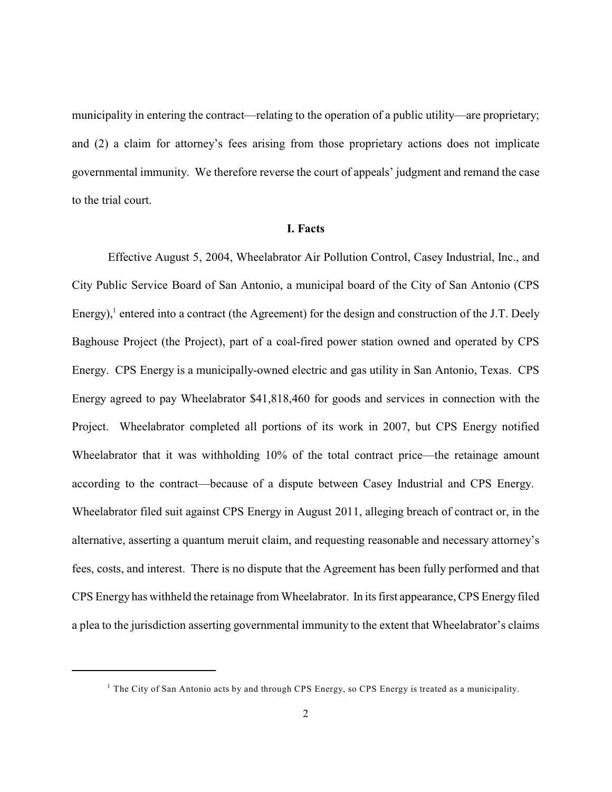municipality in entering the contract—relating to the operation of a public utility—are proprietary; and (2) a claim for attorney's fees arising from those proprietary actions does not implicate governmental immunity. We therefore reverse the court of appeals' judgment and remand the case to the trial court.

#### **I. Facts**

Effective August 5, 2004, Wheelabrator Air Pollution Control, Casey Industrial, Inc., and City Public Service Board of San Antonio, a municipal board of the City of San Antonio (CPS Energy), $^1$  entered into a contract (the Agreement) for the design and construction of the J.T. Deely Baghouse Project (the Project), part of a coal-fired power station owned and operated by CPS Energy. CPS Energy is a municipally-owned electric and gas utility in San Antonio, Texas. CPS Energy agreed to pay Wheelabrator \$41,818,460 for goods and services in connection with the Project. Wheelabrator completed all portions of its work in 2007, but CPS Energy notified Wheelabrator that it was withholding 10% of the total contract price—the retainage amount according to the contract—because of a dispute between Casey Industrial and CPS Energy. Wheelabrator filed suit against CPS Energy in August 2011, alleging breach of contract or, in the alternative, asserting a quantum meruit claim, and requesting reasonable and necessary attorney's fees, costs, and interest. There is no dispute that the Agreement has been fully performed and that CPS Energy has withheld the retainage from Wheelabrator. In its first appearance, CPS Energy filed a plea to the jurisdiction asserting governmental immunity to the extent that Wheelabrator's claims

 $1$  The City of San Antonio acts by and through CPS Energy, so CPS Energy is treated as a municipality.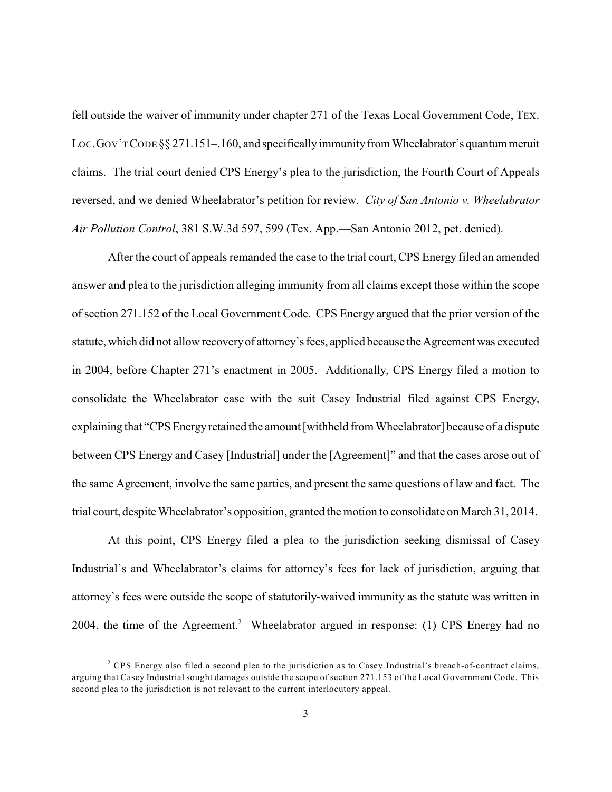fell outside the waiver of immunity under chapter 271 of the Texas Local Government Code, TEX. LOC. GOV'T CODE §§ 271.151–.160, and specifically immunity from Wheelabrator's quantum meruit claims. The trial court denied CPS Energy's plea to the jurisdiction, the Fourth Court of Appeals reversed, and we denied Wheelabrator's petition for review. *City of San Antonio v. Wheelabrator Air Pollution Control*, 381 S.W.3d 597, 599 (Tex. App.—San Antonio 2012, pet. denied).

After the court of appeals remanded the case to the trial court, CPS Energy filed an amended answer and plea to the jurisdiction alleging immunity from all claims except those within the scope of section 271.152 of the Local Government Code. CPS Energy argued that the prior version of the statute, which did not allow recoveryof attorney's fees, applied because the Agreement was executed in 2004, before Chapter 271's enactment in 2005. Additionally, CPS Energy filed a motion to consolidate the Wheelabrator case with the suit Casey Industrial filed against CPS Energy, explaining that "CPS Energyretained the amount [withheld from Wheelabrator] because of a dispute between CPS Energy and Casey [Industrial] under the [Agreement]" and that the cases arose out of the same Agreement, involve the same parties, and present the same questions of law and fact. The trial court, despite Wheelabrator's opposition, granted the motion to consolidate on March 31, 2014.

At this point, CPS Energy filed a plea to the jurisdiction seeking dismissal of Casey Industrial's and Wheelabrator's claims for attorney's fees for lack of jurisdiction, arguing that attorney's fees were outside the scope of statutorily-waived immunity as the statute was written in 2004, the time of the Agreement.<sup>2</sup> Wheelabrator argued in response: (1) CPS Energy had no

 $2^2$  CPS Energy also filed a second plea to the jurisdiction as to Casey Industrial's breach-of-contract claims, arguing that Casey Industrial sought damages outside the scope of section 271.153 of the Local Government Code. This second plea to the jurisdiction is not relevant to the current interlocutory appeal.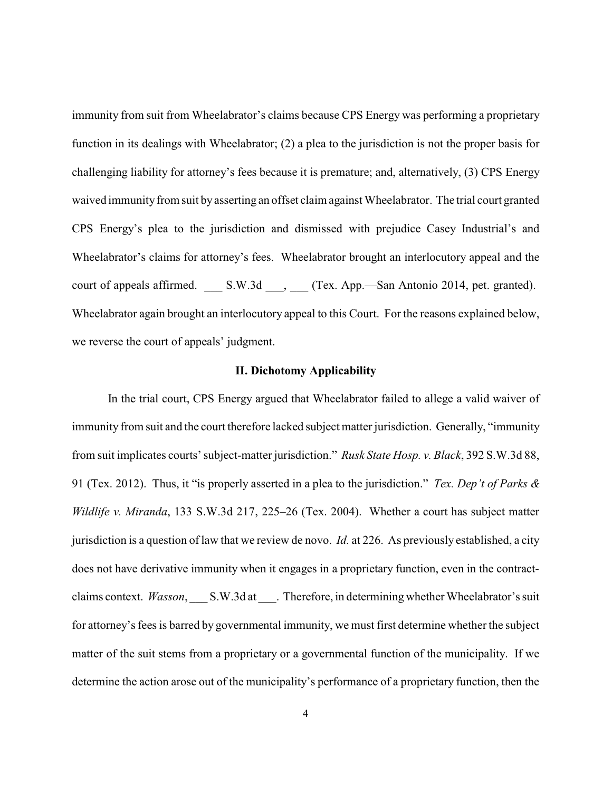immunity from suit from Wheelabrator's claims because CPS Energy was performing a proprietary function in its dealings with Wheelabrator; (2) a plea to the jurisdiction is not the proper basis for challenging liability for attorney's fees because it is premature; and, alternatively, (3) CPS Energy waived immunity from suit by asserting an offset claim against Wheelabrator. The trial court granted CPS Energy's plea to the jurisdiction and dismissed with prejudice Casey Industrial's and Wheelabrator's claims for attorney's fees. Wheelabrator brought an interlocutory appeal and the court of appeals affirmed. S.W.3d  $\qquad$ , (Tex. App.—San Antonio 2014, pet. granted). Wheelabrator again brought an interlocutory appeal to this Court. For the reasons explained below, we reverse the court of appeals' judgment.

#### **II. Dichotomy Applicability**

In the trial court, CPS Energy argued that Wheelabrator failed to allege a valid waiver of immunity from suit and the court therefore lacked subject matter jurisdiction. Generally, "immunity from suit implicates courts' subject-matter jurisdiction." *Rusk State Hosp. v. Black*, 392 S.W.3d 88, 91 (Tex. 2012). Thus, it "is properly asserted in a plea to the jurisdiction." *Tex. Dep't of Parks & Wildlife v. Miranda*, 133 S.W.3d 217, 225–26 (Tex. 2004). Whether a court has subject matter jurisdiction is a question of law that we review de novo. *Id.* at 226. As previously established, a city does not have derivative immunity when it engages in a proprietary function, even in the contractclaims context. *Wasson*, S.W.3d at ... Therefore, in determining whether Wheelabrator's suit for attorney's fees is barred by governmental immunity, we must first determine whether the subject matter of the suit stems from a proprietary or a governmental function of the municipality. If we determine the action arose out of the municipality's performance of a proprietary function, then the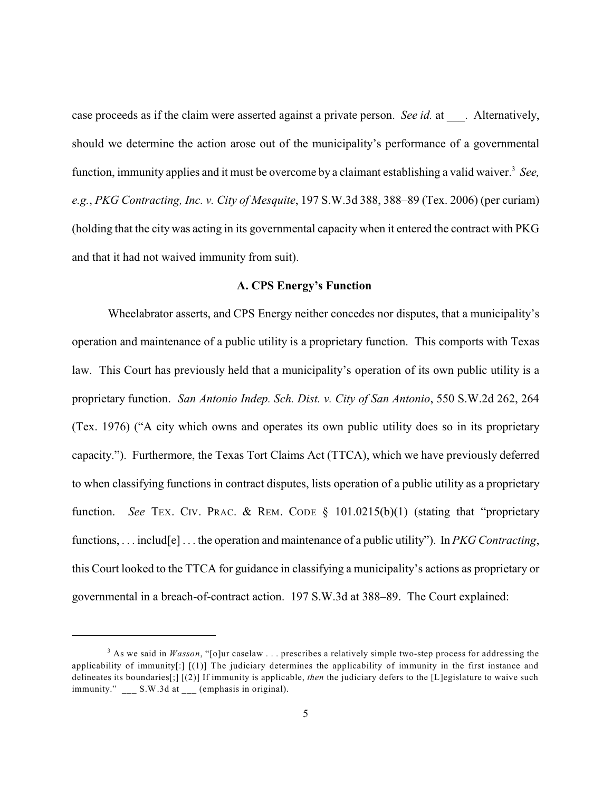case proceeds as if the claim were asserted against a private person. *See id.* at . Alternatively, should we determine the action arose out of the municipality's performance of a governmental function, immunity applies and it must be overcome by a claimant establishing a valid waiver.<sup>3</sup> See, *e.g.*, *PKG Contracting, Inc. v. City of Mesquite*, 197 S.W.3d 388, 388–89 (Tex. 2006) (per curiam) (holding that the city was acting in its governmental capacity when it entered the contract with PKG and that it had not waived immunity from suit).

#### **A. CPS Energy's Function**

Wheelabrator asserts, and CPS Energy neither concedes nor disputes, that a municipality's operation and maintenance of a public utility is a proprietary function. This comports with Texas law. This Court has previously held that a municipality's operation of its own public utility is a proprietary function. *San Antonio Indep. Sch. Dist. v. City of San Antonio*, 550 S.W.2d 262, 264 (Tex. 1976) ("A city which owns and operates its own public utility does so in its proprietary capacity."). Furthermore, the Texas Tort Claims Act (TTCA), which we have previously deferred to when classifying functions in contract disputes, lists operation of a public utility as a proprietary function. *See* TEX. CIV. PRAC. & REM. CODE § 101.0215(b)(1) (stating that "proprietary functions, . . . includ[e] . . . the operation and maintenance of a public utility"). In *PKG Contracting*, this Court looked to the TTCA for guidance in classifying a municipality's actions as proprietary or governmental in a breach-of-contract action. 197 S.W.3d at 388–89. The Court explained:

 $3$  As we said in *Wasson*, "[o]ur caselaw ... prescribes a relatively simple two-step process for addressing the applicability of immunity $[.]$   $[(1)]$  The judiciary determines the applicability of immunity in the first instance and delineates its boundaries[;] [(2)] If immunity is applicable, *then* the judiciary defers to the [L]egislature to waive such immunity." \_\_\_ S.W.3d at \_\_ (emphasis in original).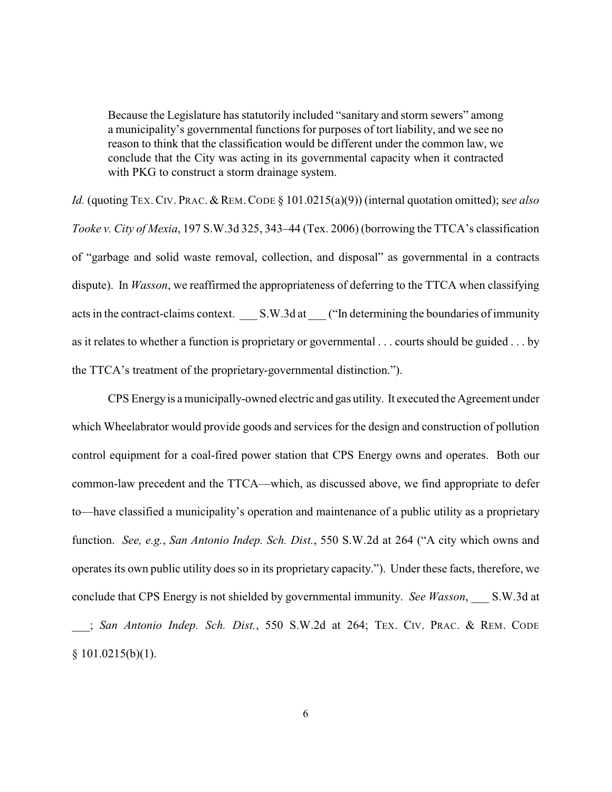Because the Legislature has statutorily included "sanitary and storm sewers" among a municipality's governmental functions for purposes of tort liability, and we see no reason to think that the classification would be different under the common law, we conclude that the City was acting in its governmental capacity when it contracted with PKG to construct a storm drainage system.

*Id.* (quoting TEX. CIV. PRAC. & REM. CODE § 101.0215(a)(9)) (internal quotation omitted); see also *Tooke v. City of Mexia*, 197 S.W.3d 325, 343–44 (Tex. 2006) (borrowing the TTCA's classification of "garbage and solid waste removal, collection, and disposal" as governmental in a contracts dispute). In *Wasson*, we reaffirmed the appropriateness of deferring to the TTCA when classifying acts in the contract-claims context. S.W.3d at ("In determining the boundaries of immunity as it relates to whether a function is proprietary or governmental . . . courts should be guided . . . by the TTCA's treatment of the proprietary-governmental distinction.").

CPS Energyis a municipally-owned electric and gas utility. It executed the Agreement under which Wheelabrator would provide goods and services for the design and construction of pollution control equipment for a coal-fired power station that CPS Energy owns and operates. Both our common-law precedent and the TTCA—which, as discussed above, we find appropriate to defer to—have classified a municipality's operation and maintenance of a public utility as a proprietary function. *See, e.g.*, *San Antonio Indep. Sch. Dist.*, 550 S.W.2d at 264 ("A city which owns and operates its own public utility does so in its proprietary capacity."). Under these facts, therefore, we conclude that CPS Energy is not shielded by governmental immunity. *See Wasson*, S.W.3d at \_\_\_; *San Antonio Indep. Sch. Dist.*, 550 S.W.2d at 264; TEX. CIV. PRAC. & REM. CODE  $§ 101.0215(b)(1).$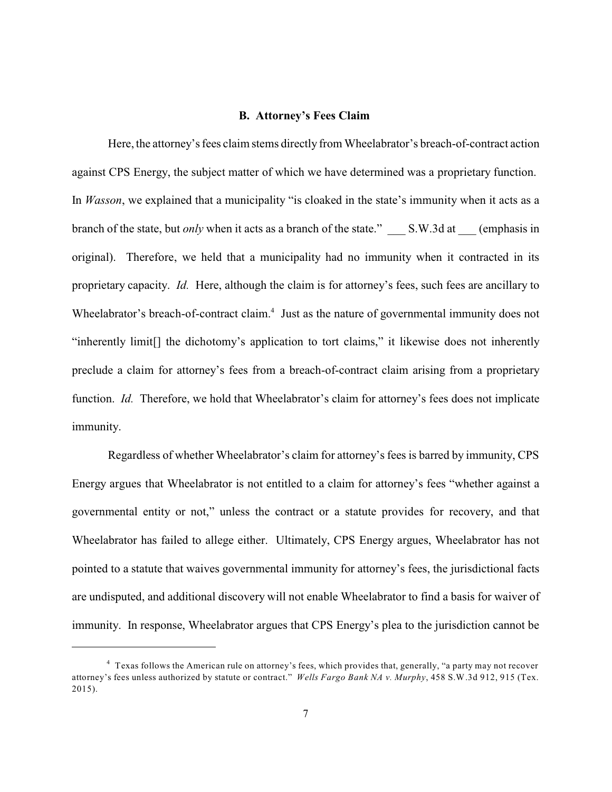#### **B. Attorney's Fees Claim**

Here, the attorney's fees claim stems directly from Wheelabrator's breach-of-contract action against CPS Energy, the subject matter of which we have determined was a proprietary function. In *Wasson*, we explained that a municipality "is cloaked in the state's immunity when it acts as a branch of the state, but *only* when it acts as a branch of the state." S.W.3d at (emphasis in original). Therefore, we held that a municipality had no immunity when it contracted in its proprietary capacity. *Id.* Here, although the claim is for attorney's fees, such fees are ancillary to Wheelabrator's breach-of-contract claim. $<sup>4</sup>$  Just as the nature of governmental immunity does not</sup> "inherently limit[] the dichotomy's application to tort claims," it likewise does not inherently preclude a claim for attorney's fees from a breach-of-contract claim arising from a proprietary function. *Id.* Therefore, we hold that Wheelabrator's claim for attorney's fees does not implicate immunity.

Regardless of whether Wheelabrator's claim for attorney's fees is barred by immunity, CPS Energy argues that Wheelabrator is not entitled to a claim for attorney's fees "whether against a governmental entity or not," unless the contract or a statute provides for recovery, and that Wheelabrator has failed to allege either. Ultimately, CPS Energy argues, Wheelabrator has not pointed to a statute that waives governmental immunity for attorney's fees, the jurisdictional facts are undisputed, and additional discovery will not enable Wheelabrator to find a basis for waiver of immunity. In response, Wheelabrator argues that CPS Energy's plea to the jurisdiction cannot be

<sup>&</sup>lt;sup>4</sup> Texas follows the American rule on attorney's fees, which provides that, generally, "a party may not recover attorney's fees unless authorized by statute or contract." *Wells Fargo Bank NA v. Murphy*, 458 S.W.3d 912, 915 (Tex. 2015).